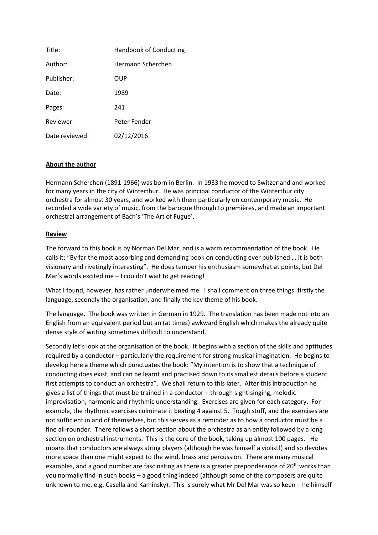| Title:         | <b>Handbook of Conducting</b> |
|----------------|-------------------------------|
| Author:        | Hermann Scherchen             |
| Publisher:     | OUP                           |
| Date:          | 1989                          |
| Pages:         | 241                           |
| Reviewer:      | Peter Fender                  |
| Date reviewed: | 02/12/2016                    |

## **About the author**

Hermann Scherchen (1891-1966) was born in Berlin. In 1933 he moved to Switzerland and worked for many years in the city of Winterthur. He was principal conductor of the Winterthur city orchestra for almost 30 years, and worked with them particularly on contemporary music. He recorded a wide variety of music, from the baroque through to premières, and made an important orchestral arrangement of Bach's 'The Art of Fugue'.

## **Review**

The forward to this book is by Norman Del Mar, and is a warm recommendation of the book. He calls it: "By far the most absorbing and demanding book on conducting ever published … it is both visionary and rivetingly interesting". He does temper his enthusiasm somewhat at points, but Del Mar's words excited me – I couldn't wait to get reading!

What I found, however, has rather underwhelmed me. I shall comment on three things: firstly the language, secondly the organisation, and finally the key theme of his book.

The language. The book was written in German in 1929. The translation has been made not into an English from an equivalent period but an (at times) awkward English which makes the already quite dense style of writing sometimes difficult to understand.

Secondly let's look at the organisation of the book. It begins with a section of the skills and aptitudes required by a conductor – particularly the requirement for strong musical imagination. He begins to develop here a theme which punctuates the book: "My intention is to show that a technique of conducting does exist, and can be learnt and practised down to its smallest details before a student first attempts to conduct an orchestra". We shall return to this later. After this introduction he gives a list of things that must be trained in a conductor – through sight-singing, melodic improvisation, harmonic and rhythmic understanding. Exercises are given for each category. For example, the rhythmic exercises culminate it beating 4 against 5. Tough stuff, and the exercises are not sufficient in and of themselves, but this serves as a reminder as to how a conductor must be a fine all-rounder. There follows a short section about the orchestra as an entity followed by a long section on orchestral instruments. This is the core of the book, taking up almost 100 pages. He moans that conductors are always string players (although he was himself a violist!) and so devotes more space than one might expect to the wind, brass and percussion. There are many musical examples, and a good number are fascinating as there is a greater preponderance of 20<sup>th</sup> works than you normally find in such books – a good thing indeed (although some of the composers are quite unknown to me, e.g. Casella and Kaminsky). This is surely what Mr Del Mar was so keen – he himself